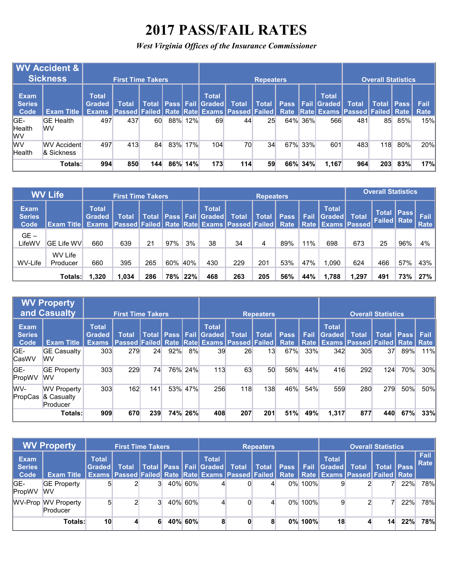## **2017 PASS/FAIL RATES**

*West Virginia Offices of the Insurance Commissioner*

|                               | <b>WV Accident &amp;</b><br><b>Sickness</b> |                        | <b>First Time Takers.</b> |        |     |     |                                       |                                                                                                                | <b>Repeaters</b> |         |                                               |              | <b>Overall Statistics</b> |     |              |
|-------------------------------|---------------------------------------------|------------------------|---------------------------|--------|-----|-----|---------------------------------------|----------------------------------------------------------------------------------------------------------------|------------------|---------|-----------------------------------------------|--------------|---------------------------|-----|--------------|
| Exam<br><b>Series</b><br>Code | <b>Exam Title</b>                           | <b>Total</b><br>Graded | Total                     | 'Total |     |     | <b>Total</b><br>  Pass   Fail  Graded | <b>Total</b><br>Exams  Passed Failed Rate  Rate Exams  Passed Failed   Rate  Rate Exams  Passed  Failed   Rate | <b>Total</b>     |         | <b>Total</b><br><b>Pass   Fail   Graded  </b> | <b>Total</b> | <b>Total IPass</b>        |     | Fail<br>Rate |
| IGE-<br>Health<br>lwv         | <b>GE Health</b><br><b>WV</b>               | 497                    | 437                       | 60     | 88% | 12% | 69                                    | 44                                                                                                             | 25               | 64% 36% | 566                                           | 481          | 85                        | 85% | 15%          |
| <b>WV</b><br>Health           | <b>WV Accident</b><br>& Sickness            | 497                    | 413                       | 84     | 83% | 17% | 104                                   | 70                                                                                                             | 34               | 67% 33% | 601                                           | 483          | 118                       | 80% | 20%          |
|                               | Totals:                                     | 994                    | 850                       | 144    | 86% | 14% | 173                                   | 114                                                                                                            | 59               | 66% 34% | 1.167                                         | 964          | 203                       | 83% | 17%          |

|                                      | <b>WV Life</b>      |                               | <b>First Time Takers</b>                                                          |              |     |     |                                         |              | <b>Repeaters</b> |                     |      |                                                        |              | <b>Overall Statistics</b>                   |     |              |
|--------------------------------------|---------------------|-------------------------------|-----------------------------------------------------------------------------------|--------------|-----|-----|-----------------------------------------|--------------|------------------|---------------------|------|--------------------------------------------------------|--------------|---------------------------------------------|-----|--------------|
| <b>Exam</b><br><b>Series</b><br>Code | <b>Exam Title</b>   | <b>Total</b><br><b>Graded</b> | Total<br><b>Exams   Passed   Failed   Rate   Rate   Exams   Passed   Failed  </b> | <b>Total</b> |     |     | <b>Total</b><br><b>Pass Fail Graded</b> | <b>Total</b> | <b>Total</b>     | <b>Pass</b><br>Rate | Fail | <b>Total</b><br><b>Graded</b><br>Rate   Exams   Passed | <b>Total</b> | <b>Total   Pass  </b><br><b>Failed Rate</b> |     | Fail<br>Rate |
| $GE -$<br>LifeWV                     | <b>GE Life WV</b>   | 660                           | 639                                                                               | 21           | 97% | 3%  | 38                                      | 34           | 4                | 89%                 | 11%  | 698                                                    | 673          | 25                                          | 96% | 4%           |
| WV-Life                              | WV Life<br>Producer | 660                           | 395                                                                               | 265          | 60% | 40% | 430                                     | 229          | 201              | 53%                 | 47%  | 1.090                                                  | 624          | 466                                         | 57% | 43%          |
|                                      | Totals:             | 1,320                         | 1,034                                                                             | 286          | 78% | 22% | 468                                     | 263          | 205              | 56%                 | 44%  | 1.788                                                  | 1.297        | 491                                         | 73% | 27%          |

|                                      | <b>WV Property</b><br><b>and Casualty</b>    |                               | <b>First Time Takers</b>                                                                  |     |     |         |                                                       |              | <b>Repeaters</b> |      |             |                               |                                                              | <b>Overall Statistics</b> |             |             |
|--------------------------------------|----------------------------------------------|-------------------------------|-------------------------------------------------------------------------------------------|-----|-----|---------|-------------------------------------------------------|--------------|------------------|------|-------------|-------------------------------|--------------------------------------------------------------|---------------------------|-------------|-------------|
| <b>Exam</b><br><b>Series</b><br>Code | <b>Exam Title</b>                            | <b>Total</b><br><b>Graded</b> | <b>Total</b><br><b>Exams   Passed Failed Rate   Rate Exams   Passed   Failed   Rate  </b> |     |     |         | <b>Total</b><br><b>Total   Pass   Fail   Graded  </b> | <b>Total</b> | <b>Total</b>     | Pass | <b>Fail</b> | <b>Total</b><br><b>Graded</b> | <b>Total</b><br>Rate   Exams   Passed   Failed   Rate   Rate | <b>Total</b>              | <b>Pass</b> | <b>Fail</b> |
| GE-<br><b>CasWV</b>                  | <b>GE Casualty</b><br><b>WV</b>              | 303                           | 279                                                                                       | 24  | 92% | 8%      | 39                                                    | 26           | 13               | 67%  | 33%         | 342                           | 305                                                          | 37                        | 89%         | 11%         |
| GE-<br>PropWV                        | <b>GE Property</b><br><b>WV</b>              | 303                           | 229                                                                                       | 74  |     | 76% 24% | 113                                                   | 63           | 50               | 56%  | 44%         | 416                           | 292                                                          | 124                       | 70%         | 30%         |
| WV-<br>PropCas                       | <b>WV Property</b><br>& Casualty<br>Producer | 303                           | 162                                                                                       | 141 |     | 53% 47% | 256                                                   | 118          | 138              | 46%  | 54%         | 559                           | 280                                                          | 279                       | 50%         | 50%         |
|                                      | Totals:                                      | 909                           | 670                                                                                       | 239 |     | 74% 26% | 408                                                   | 207          | 201              | 51%  | 49%         | 1,317                         | 877                                                          | 440                       | 67%         | 33%         |

|                               | <b>WV Property</b>              |                         | <b>First Time Takers</b>                                                                                                |  |         |                                                        |   | <b>Repeaters</b> |             |         |                               | <b>Overall Statistics</b> |                   |     |              |
|-------------------------------|---------------------------------|-------------------------|-------------------------------------------------------------------------------------------------------------------------|--|---------|--------------------------------------------------------|---|------------------|-------------|---------|-------------------------------|---------------------------|-------------------|-----|--------------|
| Exam<br><b>Series</b><br>Code | <b>Exam Title</b>               | <b>Total</b><br>Gradedl | Total<br>Exams   Passed   Failed   Rate   Rate   Exams   Passed   Failed   Rate   Rate   Exams   Passed   Failed   Rate |  |         | <b>Total</b><br>  Total   Pass   Fail   Graded   Total |   | <b>Total</b>     | <b>Pass</b> | Fail    | <b>Total</b><br><b>Sraded</b> | <b>Total</b>              | <b>Total Pass</b> |     | Fail<br>Rate |
| GE-<br>PropWV                 | <b>GE Property</b><br><b>WV</b> | 5                       |                                                                                                                         |  | 40% 60% |                                                        |   |                  |             | 0% 100% |                               |                           |                   | 22% | 78%          |
|                               | WV-Prop WV Property<br>Producer | 5                       |                                                                                                                         |  | 40% 60% |                                                        |   | 4                |             | 0% 100% |                               |                           |                   | 22% | 78%          |
|                               | <b>Totals:</b>                  | 10 <sup>1</sup>         |                                                                                                                         |  | 40% 60% | 8                                                      | 0 | 8                |             | 0% 100% | 18                            |                           | 14 <sub>1</sub>   | 22% | 78%          |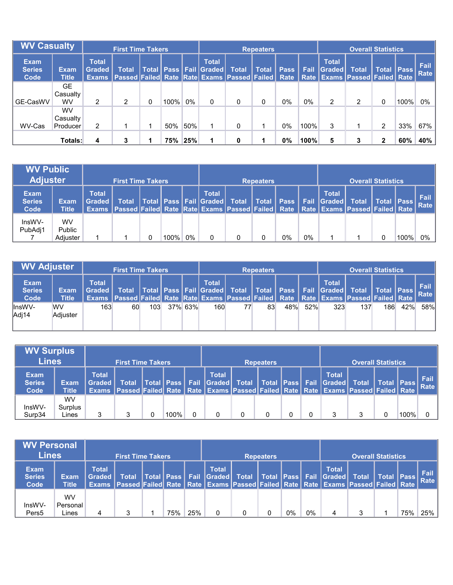| <b>WV Casualty</b>                   |                                    |                                               | <b>First Time Takers</b>                                         |   |      |     |                                              |              | <b>Repeaters</b> |             |             |                        |                                                       | <b>Overall Statistics</b> |        |              |
|--------------------------------------|------------------------------------|-----------------------------------------------|------------------------------------------------------------------|---|------|-----|----------------------------------------------|--------------|------------------|-------------|-------------|------------------------|-------------------------------------------------------|---------------------------|--------|--------------|
| <b>Exam</b><br><b>Series</b><br>Code | Exami<br><b>Title</b>              | <b>Total</b><br><b>Graded</b><br><b>Exams</b> | <b>Total</b><br>Passed Failed Rate Rate Exams Passed Failed Rate |   |      |     | <b>Total</b><br>Total   Pass   Fail   Graded | <b>Total</b> | <b>Total</b>     | <b>Pass</b> | <b>Fail</b> | <b>Total</b><br>Graded | <b>Total</b><br>Rate   Exams   Passed   Failed   Rate | <b>Total</b>              | l Pass | Fail<br>Rate |
| GE-CasWV                             | <b>GE</b><br>Casualty<br><b>WV</b> | 2                                             | 2                                                                | 0 | 100% | 0%  | 0                                            |              | 0                | 0%          | 0%          | 2                      | ົ                                                     | 0                         | 100%   | 0%           |
| WV-Cas                               | <b>WV</b><br>Casualty<br>Producer  | $\overline{2}$                                |                                                                  |   | 50%  | 50% |                                              |              |                  | 0%          | 100%        | 3                      |                                                       | 2                         | 33%    | 67%          |
|                                      | Totals:                            | 4                                             | 3                                                                |   | 75%  | 25% |                                              | 0            |                  | 0%          | 100%        | 5                      |                                                       | າ                         | 60%    | 40%          |

| <b>WV Public</b><br><b>Adjuster</b>  |                             |                               | <b>First Time Takers</b>                                                                                    |      |    |                                                      | <b>Repeaters</b> |    |    |                                          | <b>Overall Statistics</b> |            |         |                     |
|--------------------------------------|-----------------------------|-------------------------------|-------------------------------------------------------------------------------------------------------------|------|----|------------------------------------------------------|------------------|----|----|------------------------------------------|---------------------------|------------|---------|---------------------|
| <b>Exam</b><br><b>Series</b><br>Code | <b>Exam</b><br><b>Title</b> | <b>Total</b><br><b>Graded</b> | <b>Total</b><br><b>Exams Passed Failed Rate Rate Exams Passed Failed Rate Rate Exams Passed Failed Rate</b> |      |    | <b>Total</b><br>Total   Pass   Fail   Graded   Total | Total   Pass     |    |    | <b>Total</b><br><b>Fail Graded Total</b> |                           | Total Pass |         | <b>Fail</b><br>Rate |
| InsWV-<br>PubAdj1                    | WV<br>Public<br>Adjuster    |                               |                                                                                                             | 100% | 0% |                                                      |                  | 0% | 0% |                                          |                           |            | $100\%$ | 0%                  |

| <b>WV Adjuster</b>                   |                       |                                 | <b>First Time Takers</b>                                                             |                  |            |              |    | <b>Repeaters</b> |     |     |              | <b>Overall Statistics</b>                                                       |     |     |     |
|--------------------------------------|-----------------------|---------------------------------|--------------------------------------------------------------------------------------|------------------|------------|--------------|----|------------------|-----|-----|--------------|---------------------------------------------------------------------------------|-----|-----|-----|
| <b>Exam</b><br><b>Series</b><br>Code | Exam<br><b>Title</b>  | <b>Total</b><br><b>Graded</b> I | Exams Passed Failed Rate Rate Exams Passed Failed Rate Rate Exams Passed Failed Rate |                  |            | <b>Total</b> |    |                  |     |     | <b>Total</b> | Total Total Pass Fail Graded Total Total Pass Fail Graded Total Total Pass Fail |     |     |     |
| llnsWV-<br>Adj14                     | <b>WV</b><br>Adiuster | 163                             | 60                                                                                   | 103 <sub>1</sub> | $37\%$ 63% | 160          | 77 | 83               | 48% | 52% | 323          | 137                                                                             | 186 | 42% | 58% |

| <b>WV Surplus</b><br><b>Lines</b>    |                               |                        | 'First Time Takers،                                                                                  |                            |                                                                                               | <b>Repeaters</b> |  |              | <b>Overall Statistics</b> |      |                |
|--------------------------------------|-------------------------------|------------------------|------------------------------------------------------------------------------------------------------|----------------------------|-----------------------------------------------------------------------------------------------|------------------|--|--------------|---------------------------|------|----------------|
| <b>Exam</b><br><b>Series</b><br>Code | <b>Exam</b><br><b>Title</b>   | <b>Total</b><br>Graded | <b>Total</b><br>Exams Passed Failed Rate Rate Exams Passed Failed Rate Rate Exams Passed Failed Rate |                            | <b>Total</b><br>  Total   Pass   Fail   Graded   Total   Total   Pass   Fail   Graded   Total |                  |  | <b>Total</b> | Total   Pass              |      | Fail  <br>Rate |
| InsWV-<br>Surp34                     | <b>WV</b><br>Surplus<br>Lines |                        |                                                                                                      | $^{\circ}$ 100% $_{\circ}$ |                                                                                               |                  |  | 2            |                           | 100% |                |

| <b>WV Personal</b><br><b>Lines</b>   |                         |                          | <b>First Time Takers</b>                                                                                    |              |     |     |                                   |   | <b>Repeaters</b> |       |    |                                              | <b>Overall Statistics</b> |              |     |                     |
|--------------------------------------|-------------------------|--------------------------|-------------------------------------------------------------------------------------------------------------|--------------|-----|-----|-----------------------------------|---|------------------|-------|----|----------------------------------------------|---------------------------|--------------|-----|---------------------|
| <b>Exam</b><br><b>Series</b><br>Code | Exam<br><b>Title</b>    | <b>Total</b><br>Graded I | <b>Total</b><br><b>Exams Passed Failed Rate Rate Exams Passed Failed Rate Rate Exams Passed Failed Rate</b> | Total   Pass |     |     | <b>Total</b><br>Fail Graded Total |   |                  |       |    | <b>Total</b><br>Total   Pass   Fail   Graded | <b>Total</b>              | Total   Pass |     | Fail<br><b>Rate</b> |
| InsWV-<br>Pers <sub>5</sub>          | WV<br>Personal<br>Lines | 4                        | 3                                                                                                           |              | 75% | 25% |                                   | 0 |                  | $0\%$ | 0% | 4                                            |                           |              | 75% | 25%                 |